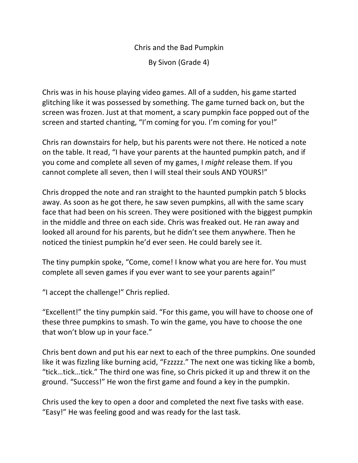Chris and the Bad Pumpkin

By Sivon (Grade 4)

Chris was in his house playing video games. All of a sudden, his game started glitching like it was possessed by something. The game turned back on, but the screen was frozen. Just at that moment, a scary pumpkin face popped out of the screen and started chanting, "I'm coming for you. I'm coming for you!"

Chris ran downstairs for help, but his parents were not there. He noticed a note on the table. It read, "I have your parents at the haunted pumpkin patch, and if you come and complete all seven of my games, I *might* release them. If you cannot complete all seven, then I will steal their souls AND YOURS!"

Chris dropped the note and ran straight to the haunted pumpkin patch 5 blocks away. As soon as he got there, he saw seven pumpkins, all with the same scary face that had been on his screen. They were positioned with the biggest pumpkin in the middle and three on each side. Chris was freaked out. He ran away and looked all around for his parents, but he didn't see them anywhere. Then he noticed the tiniest pumpkin he'd ever seen. He could barely see it.

The tiny pumpkin spoke, "Come, come! I know what you are here for. You must complete all seven games if you ever want to see your parents again!"

"I accept the challenge!" Chris replied.

"Excellent!" the tiny pumpkin said. "For this game, you will have to choose one of these three pumpkins to smash. To win the game, you have to choose the one that won't blow up in your face."

Chris bent down and put his ear next to each of the three pumpkins. One sounded like it was fizzling like burning acid, "Fzzzzz." The next one was ticking like a bomb, "tick…tick…tick." The third one was fine, so Chris picked it up and threw it on the ground. "Success!" He won the first game and found a key in the pumpkin.

Chris used the key to open a door and completed the next five tasks with ease. "Easy!" He was feeling good and was ready for the last task.